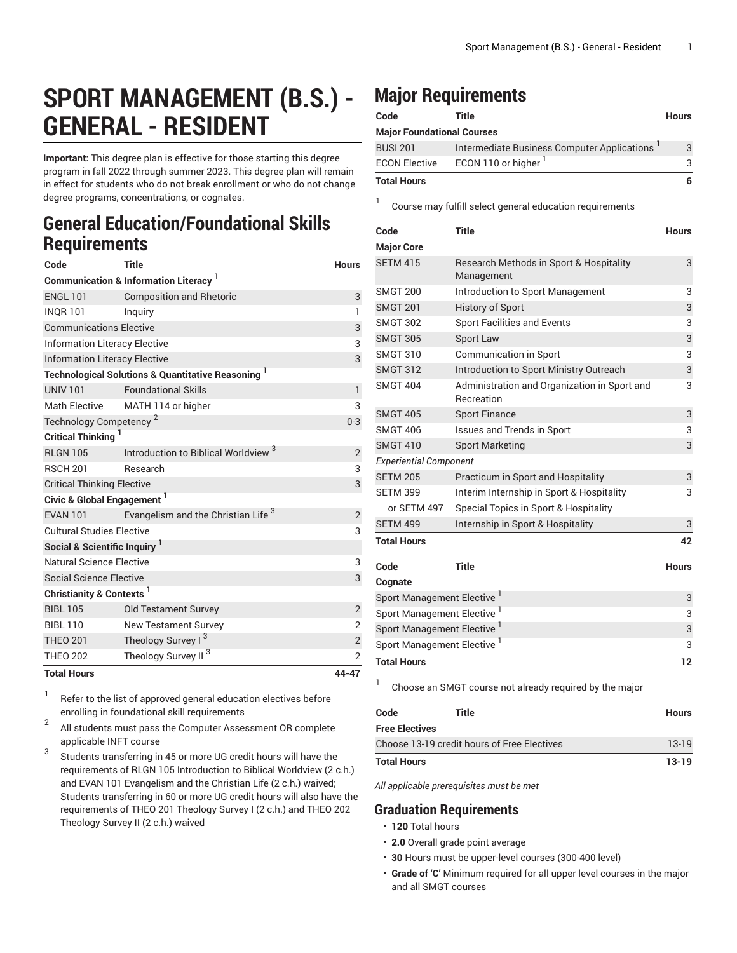## **SPORT MANAGEMENT (B.S.) - GENERAL - RESIDENT**

**Important:** This degree plan is effective for those starting this degree program in fall 2022 through summer 2023. This degree plan will remain in effect for students who do not break enrollment or who do not change degree programs, concentrations, or cognates.

## **General Education/Foundational Skills Requirements**

| Code                                     | <b>Title</b>                                                             | <b>Hours</b>   |
|------------------------------------------|--------------------------------------------------------------------------|----------------|
|                                          | <b>Communication &amp; Information Literacy</b>                          |                |
| <b>ENGL 101</b>                          | <b>Composition and Rhetoric</b>                                          | 3              |
| <b>INOR 101</b>                          | Inquiry                                                                  | $\mathbf{1}$   |
| <b>Communications Elective</b>           | 3                                                                        |                |
| <b>Information Literacy Elective</b>     | 3                                                                        |                |
| <b>Information Literacy Elective</b>     | 3                                                                        |                |
|                                          | <b>Technological Solutions &amp; Quantitative Reasoning</b> <sup>1</sup> |                |
| <b>UNIV 101</b>                          | <b>Foundational Skills</b>                                               | $\mathbf{1}$   |
| <b>Math Elective</b>                     | MATH 114 or higher                                                       | 3              |
| Technology Competency <sup>2</sup>       | $0 - 3$                                                                  |                |
| Critical Thinking <sup>1</sup>           |                                                                          |                |
| <b>RLGN 105</b>                          | Introduction to Biblical Worldview <sup>3</sup>                          | $\overline{2}$ |
| <b>RSCH 201</b>                          | Research                                                                 | 3              |
| <b>Critical Thinking Elective</b>        | 3                                                                        |                |
| Civic & Global Engagement <sup>1</sup>   |                                                                          |                |
| <b>EVAN 101</b>                          | Evangelism and the Christian Life <sup>3</sup>                           | $\overline{2}$ |
| <b>Cultural Studies Elective</b>         | 3                                                                        |                |
| Social & Scientific Inquiry <sup>1</sup> |                                                                          |                |
| Natural Science Elective                 | 3                                                                        |                |
| <b>Social Science Elective</b>           |                                                                          | 3              |
| Christianity & Contexts <sup>1</sup>     |                                                                          |                |
| <b>BIBL 105</b>                          | <b>Old Testament Survey</b>                                              | $\overline{2}$ |
| <b>BIBL 110</b>                          | <b>New Testament Survey</b>                                              | $\overline{2}$ |
| <b>THEO 201</b>                          | Theology Survey I <sup>3</sup>                                           | $\mathbf{2}$   |
| <b>THEO 202</b>                          | Theology Survey II <sup>3</sup>                                          | $\overline{2}$ |
| <b>Total Hours</b>                       |                                                                          | 44-47          |

1 Refer to the list of approved general [education](https://www.liberty.edu/gened/) electives before enrolling in foundational skill requirements

2 All students must pass the [Computer Assessment](https://www.liberty.edu/computerassessment/) OR complete applicable INFT course

3 Students transferring in 45 or more UG credit hours will have the requirements of RLGN 105 Introduction to Biblical Worldview (2 c.h.) and EVAN 101 Evangelism and the Christian Life (2 c.h.) waived; Students transferring in 60 or more UG credit hours will also have the requirements of THEO 201 Theology Survey I (2 c.h.) and THEO 202 Theology Survey II (2 c.h.) waived

## **Major Requirements**

1

| Code                              | Title                                       | <b>Hours</b> |
|-----------------------------------|---------------------------------------------|--------------|
| <b>Major Foundational Courses</b> |                                             |              |
| <b>BUSI 201</b>                   | Intermediate Business Computer Applications | 3            |
| <b>ECON Elective</b>              | ECON 110 or higher <sup>1</sup>             | 3            |
| <b>Total Hours</b>                |                                             | 6            |

Course may fulfill select general education [requirements](http://www.liberty.edu/academics/generalstudies/?PID=37563)

| Code                                   | <b>Title</b>                                               | <b>Hours</b> |
|----------------------------------------|------------------------------------------------------------|--------------|
| <b>Major Core</b>                      |                                                            |              |
| <b>SETM 415</b>                        | Research Methods in Sport & Hospitality<br>Management      | 3            |
| <b>SMGT 200</b>                        | Introduction to Sport Management                           | 3            |
| <b>SMGT 201</b>                        | <b>History of Sport</b>                                    | 3            |
| <b>SMGT 302</b>                        | <b>Sport Facilities and Events</b>                         | 3            |
| <b>SMGT 305</b>                        | <b>Sport Law</b>                                           | 3            |
| <b>SMGT 310</b>                        | <b>Communication in Sport</b>                              | 3            |
| <b>SMGT 312</b>                        | Introduction to Sport Ministry Outreach                    | 3            |
| <b>SMGT 404</b>                        | Administration and Organization in Sport and<br>Recreation | 3            |
| <b>SMGT 405</b>                        | <b>Sport Finance</b>                                       | 3            |
| <b>SMGT 406</b>                        | <b>Issues and Trends in Sport</b>                          | 3            |
| <b>SMGT 410</b>                        | <b>Sport Marketing</b>                                     | 3            |
| <b>Experiential Component</b>          |                                                            |              |
| <b>SETM 205</b>                        | Practicum in Sport and Hospitality                         | 3            |
| <b>SETM 399</b>                        | Interim Internship in Sport & Hospitality                  | 3            |
| or SETM 497                            | Special Topics in Sport & Hospitality                      |              |
| <b>SETM 499</b>                        | Internship in Sport & Hospitality                          | 3            |
| <b>Total Hours</b>                     |                                                            | 42           |
| Code                                   | <b>Title</b>                                               | <b>Hours</b> |
| Cognate                                |                                                            |              |
| Sport Management Elective              |                                                            |              |
| Sport Management Elective <sup>1</sup> |                                                            |              |
| Sport Management Elective              |                                                            |              |
| Sport Management Elective <sup>1</sup> |                                                            |              |
| <b>Total Hours</b>                     |                                                            | 12           |

Choose an SMGT course not already required by the major

| Code                                        | Title | Hours   |
|---------------------------------------------|-------|---------|
| <b>Free Electives</b>                       |       |         |
| Choose 13-19 credit hours of Free Electives |       | 13-19   |
| <b>Total Hours</b>                          |       | $13-19$ |

*All applicable prerequisites must be met*

## **Graduation Requirements**

• **120** Total hours

1

- **2.0** Overall grade point average
- **30** Hours must be upper-level courses (300-400 level)
- **Grade of 'C'** Minimum required for all upper level courses in the major and all SMGT courses